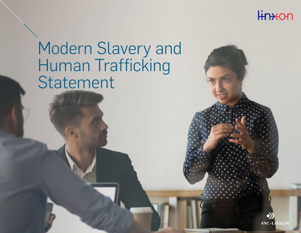

# Modern Slavery and Human Trafficking Statement

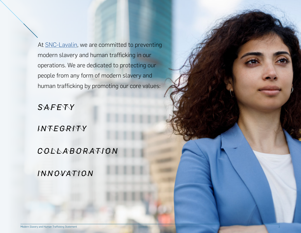At [SNC-Lavalin](https://www.snclavalin.com/en/about), we are committed to preventing modern slavery and human trafficking in our operations. We are dedicated to protecting our people from any form of modern slavery and human trafficking by promoting our core values:

SAFETY

### INTEGRYTY

### COLLABORATION

MMOVATION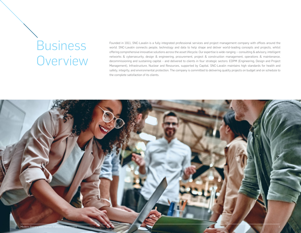## **Business Overview**

Founded in 1911, SNC-Lavalin is a fully integrated professional services and project management company with offices around the world. SNC-Lavalin connects people, technology and data to help shape and deliver world-leading concepts and projects, whilst offering comprehensive innovative solutions across the asset lifecycle. Our expertise is wide-ranging — consulting & advisory, intelligent networks & cybersecurity, design & engineering, procurement, project & construction management, operations & maintenance, decommissioning and sustaining capital – and delivered to clients in four strategic sectors: EDPM (Engineering, Design and Project Management), Infrastructure, Nuclear and Resources, supported by Capital. SNC-Lavalin maintains high standards for health and safety, integrity, and environmental protection. The company is committed to delivering quality projects on budget and on schedule to the complete satisfaction of its clients.

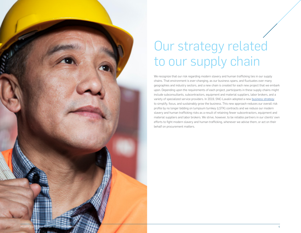

## Our strategy related to our supply chain

We recognize that our risk regarding modern slavery and human trafficking lies in our supply chains. That environment is ever-changing, as our business spans, and fluctuates over many geographies and industry sectors, and a new chain is created for each new project that we embark upon. Depending upon the requirements of each project, participants in these supply chains might include subconsultants, subcontractors, equipment and material suppliers, labor brokers, and a variety of specialized service providers. In 2019, SNC-Lavalin adopted a new [business strategy](https://www.snclavalin.com/en/investors/corporate-overview/business-strategy" business strategy) to simplify, focus, and sustainably grow the business. This new approach reduces our overall risk profile by no longer bidding on lumpsum turnkey (LSTK) contracts and we reduce our modern slavery and human trafficking risks as a result of retaining fewer subcontractors, equipment and material suppliers and labor brokers. We strive, however, to be reliable partners in our clients' own efforts to fight modern slavery and human trafficking, whenever we advise them, or act on their behalf on procurement matters.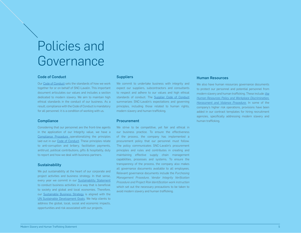### Policies and Governance

#### Code of Conduct

Our [Code of Conduct](https://www.snclavalin.com/~/media/Files/S/SNC-Lavalin/documents/policies/1003_en.pdf) sets the standards of how we work together for or on behalf of SNC-Lavalin. This important document articulates our values and includes a section dedicated to modern slavery. We aim to maintain high ethical standards in the conduct of our business. As a result, compliance with the Code of Conduct is mandatory for all personnel: it is a condition of working with us.

#### **Compliance**

Considering that our personnel are the front-line agents in the application of our Integrity value, we have a [Compliance Procedure o](https://www.snclavalin.com/~/media/Files/S/SNC-Lavalin/download-centre/en/policy/compliance.pdf)perationalizing the principles laid out in our [Code of Conduct.](https://www.snclavalin.com/~/media/Files/S/SNC-Lavalin/documents/policies/1003_en.pdf) These principles relate to anti-corruption and bribery, facilitation payments, antitrust, political contributions, gifts & hospitality, duty to report and how we deal with business partners.

#### **Sustainability**

We put sustainability at the heart of our corporate and project activities and business strategy. In that sense, every year we commit in our [Sustainability Statement](https://www.snclavalin.com/~/media/Files/S/SNC-Lavalin/download-centre/en/policy/sustainability-policy-statement-en.pdf) to conduct business activities in a way that is beneficial to society and global and local economies. Therefore, our [Sustainable Business Strategy](https://www.snclavalin.com/sustainability.php?lang=en) is aligned with the [UN Sustainable Development Goals](https://www.un.org/sustainabledevelopment/sustainable-development-goals/). We help clients to address the global, local, social and economic impacts, opportunities and risk associated with our projects.

#### **Suppliers**

We commit to undertake business with integrity and expect our suppliers, subcontractors and consultants to respect and adhere to our values and high ethical standards of conduct. The [Supplier Code of Conduct](https://www.snclavalin.com/~/media/Files/S/SNC-Lavalin/download-centre/en/policy/supplier-code-conduct-en.pdf) summarizes SNC-Lavalin's expectations and governing principles, including those related to human rights, modern slavery and human trafficking.

#### **Procurement**

We strive to be competitive, yet fair and ethical in our business practice. To ensure the effectiveness of the process, the company has implemented a procurement policy that our personnel must follow. The policy communicates SNC-Lavalin's procurement principles and rules and contributes in creating and maintaining effective supply chain management capabilities, processes and systems. To ensure the transparency of the process, the company also makes all governance documents available to all employees. Relevant governance documents include the *Purchasing Management Procedure, Vendor Integrity Verification Procedure and Project Risk Identification work instruction* which set out the necessary precautions to be taken to avoid modern slavery and human trafficking.

#### Human Resources

We also have human resources governance documents to protect our personnel and potential personnel from modern slavery and human trafficking. These include: *[the](https://www.snclavalin.com/~/media/Files/S/SNC-Lavalin/download-centre/en/policy/workplace-discrimination-harassment-and-violence-procedure.pdf) [Human Resources Policy and Workplace Discrimination,](https://www.snclavalin.com/~/media/Files/S/SNC-Lavalin/download-centre/en/policy/workplace-discrimination-harassment-and-violence-procedure.pdf) [Harassment and Violence Procedure.](https://www.snclavalin.com/~/media/Files/S/SNC-Lavalin/download-centre/en/policy/workplace-discrimination-harassment-and-violence-procedure.pdf)* In some of the company's higher risk operations, provisions have been added in our contract templates for hiring recruitment agencies, specifically addressing modern slavery and human trafficking.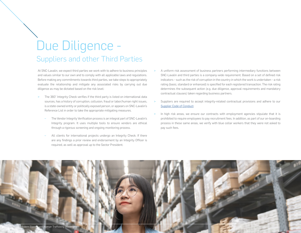### Due Diligence - Suppliers and other Third Parties

At SNC-Lavalin, we expect third parties we work with to adhere to business principles and values similar to our own and to comply with all applicable laws and regulations. Before making any commitments towards third parties, we take steps to appropriately evaluate the relationship and mitigate any associated risks by carrying out due diligence as may be dictated based on the risk level:

- The 360° Integrity Check verifies if the third party is listed on international data sources, has a history of corruption, collusion, fraud or labor/human right issues, is a state-owned entity or politically exposed person, or appears on SNC-Lavalin's Reference List in order to take the appropriate mitigating measures.
	- The Vendor Integrity Verification process is an integral part of SNC-Lavalin's Integrity program. It uses multiple tools to ensure vendors are ethical through a rigorous screening and ongoing monitoring process.
	- All clients for international projects undergo an Integrity Check. If there are any findings a prior review and endorsement by an Integrity Officer is required, as well as approval up to the Sector President.
- A uniform risk assessment of business partners performing intermediary functions between SNC-Lavalin and third parties is a company-wide requirement. Based on a set of defined risk indicators – such as the risk of corruption in the country in which the work is undertaken – a risk rating (basic, standard or enhanced) is specified for each registered transaction. The risk rating determines the subsequent action (e.g. due diligence, approval requirements and mandatory contractual clauses) taken regarding business partners.
- Suppliers are required to accept integrity-related contractual provisions and adhere to our [Supplier Code of Conduct](https://www.snclavalin.com/~/media/Files/S/SNC-Lavalin/download-centre/en/policy/supplier-code-conduct-en.pdf).
- > In high risk areas, we ensure our contracts with employment agencies stipulate that it is prohibited to require employees to pay recruitment fees. In addition, as part of our on-boarding process in these same areas, we verify with blue collar workers that they were not asked to pay such fees.

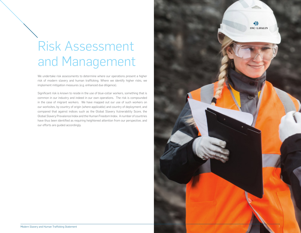## Risk Assessment and Management

We undertake risk assessments to determine where our operations present a higher risk of modern slavery and human trafficking. Where we identify higher risks, we implement mitigation measures (e.g. enhanced due diligence).

Significant risk is known to reside in the use of blue-collar workers, something that is common in our industry and indeed in our own operations. The risk is compounded in the case of migrant workers. We have mapped out our use of such workers on our worksites, by country of origin (where applicable) and country of deployment, and compared that against indices such as the Global Slavery Vulnerability Score, the Global Slavery Prevalence Index and the Human Freedom Index. A number of countries have thus been identified as requiring heightened attention from our perspective, and our efforts are guided accordingly.

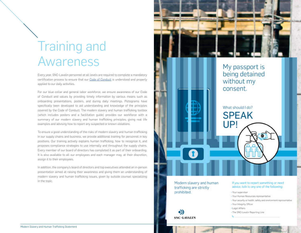### Training and Awareness

Every year, SNC-Lavalin personnel at all levels are required to complete a mandatory certification process to ensure that our [Code of Conduct](https://www.snclavalin.com/~/media/Files/S/SNC-Lavalin/documents/policies/1003_en.pdf) is understood and properly applied to our daily activities.

For our blue collar and general labor workforce, we ensure awareness of our Code of Conduct and values by providing timely information by various means such as onboarding presentations, posters, and during daily meetings. Pictograms have specifically been developed to aid understanding and knowledge of the principles covered by the Code of Conduct. The modern slavery and human trafficking toolbox (which includes posters and a facilitation guide) provides our workforce with a summary of our modern slavery and human trafficking principles, giving real life examples and advising how to report any suspected or known violations.

To ensure a good understanding of the risks of modern slavery and human trafficking in our supply chains and business, we provide additional training for personnel in key positions. Our training actively explains human trafficking, how to recognize it, and proposes compliance strategies to use internally and throughout the supply chains. Every member of our board of directors has completed it as part of their onboarding. It is also available to all our employees and each manager may, at their discretion, assign it to their employees.

In addition, the company's board of directors and top executives attended an in-person presentation aimed at raising their awareness and giving them an understanding of modern slavery and human trafficking issues, given by outside counsel specializing in the topic.



trafficking are strictly prohibited.

### advice, talk to any one of the following:

- · Your supervisor
- · Your Human Resources representative
- · Your security or health, safety and environment representative
- Your Integrity Officer
- . Legal Affairs
- The SNC-Lavalin Reporting Line

◆) **SNC-LAVALIN**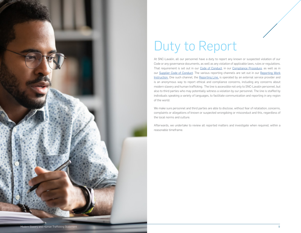

## Duty to Report

At SNC-Lavalin, all our personnel have a duty to report any known or suspected violation of our Code or any governance documents, as well as any violation of applicable laws, rules or regulations. That requirement is set out in our [Code of Conduct](https://www.snclavalin.com/~/media/Files/S/SNC-Lavalin/documents/policies/1003_en.pdf), in our [Compliance Procedure](https://www.snclavalin.com/~/media/Files/S/SNC-Lavalin/download-centre/en/policy/compliance.pdf), as well as in our [Supplier Code of Conduct](https://www.snclavalin.com/~/media/Files/S/SNC-Lavalin/download-centre/en/policy/supplier-code-conduct-en.pdf). The various reporting channels are set out in our [Reporting Work](https://km.snclavalin.com/pdce/Functional/reporting-process.pdf)  [Instruction.](https://km.snclavalin.com/pdce/Functional/reporting-process.pdf) One such channel, the [Reporting Line,](https://www.snclavalin.com/en/site-services/reporting-line) is operated by an external service provider and is an anonymous way to report ethical and compliance concerns, including any concerns about modern slavery and human trafficking. The line is accessible not only to SNC-Lavalin personnel, but also to third parties who may potentially witness a violation by our personnel. The line is staffed by individuals speaking a variety of languages, to facilitate communication and reporting in any region of the world.

We make sure personnel and third parties are able to disclose, without fear of retaliation, concerns, complaints or allegations of known or suspected wrongdoing or misconduct and this, regardless of the local norms and culture.

Afterwards, we undertake to review all reported matters and investigate when required, within a reasonable timeframe.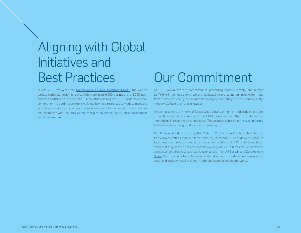### Aligning with Global Initiatives and Best Practices

In late 2015, we joined the [United Nations Global Compact \(UNGC\)](https://www.unglobalcompact.org/), the world's largest corporate social initiative, with more than 9,000 business and 3,000 nonbusiness participants in more than 160 countries. Joining the UNGC underscores our commitment to putting our extensive know-how and resources to work to meet the world's sustainability challenges. It also signals our intention to align our strategies and operations with the [UNGC's ten Principles on human rights, labor, environment](https://www.unglobalcompact.org/what-is-gc/mission/principles/)  [and anti-corruption](https://www.unglobalcompact.org/what-is-gc/mission/principles/).

### Our Commitment

At SNC-Lavalin, we are committed to preventing modern slavery and human trafficking in our operations. We are dedicated to protecting our people from any form of modern slavery and human trafficking by promoting our core values: Safety, Integrity, Collaboration and Innovation.

We do not tolerate any form of forced labor, slavery or human trafficking in any part of our business. As a signatory to the UNGC, we are committed to implementing internationally recognized best practices. This includes adhering to [the sixth principle](https://www.unglobalcompact.org/what-is-gc/mission/principles/principle-6) that addresses working conditions and human rights.

Our [Code of Conduct](https://www.snclavalin.com/~/media/Files/S/SNC-Lavalin/documents/policies/1003_en.pdf) and [Supplier Code of Conduct](https://www.snclavalin.com/~/media/Files/S/SNC-Lavalin/download-centre/en/policy/supplier-code-conduct-en.pdf) specifically prohibit human trafficking as well as child and forced labor. All personnel must abide by our Code. In fact, they must undergo mandatory annual certification on the Code, followed by an exam that they need to pass to continue working with us. In terms of our operations, our sustainable business strategy is aligned with the [UN Sustainable Development](https://www.un.org/sustainabledevelopment/sustainable-development-goals/)  [Goals.](https://www.un.org/sustainabledevelopment/sustainable-development-goals/) Our mission is to do business while taking into consideration the economic, social and environmental realities in different countries around the world.